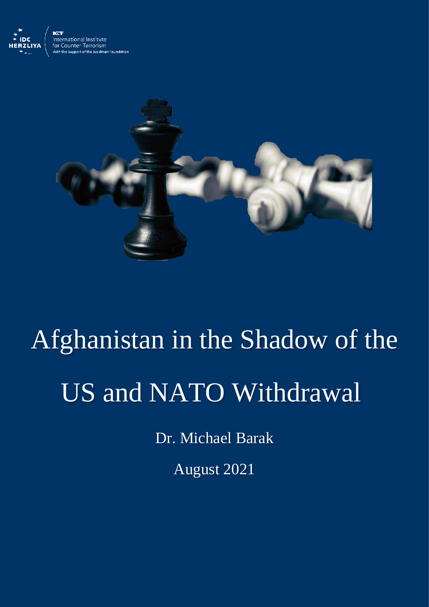



## Afghanistan in the Shadow of the US and NATO Withdrawal

Dr. Michael Barak

August 2021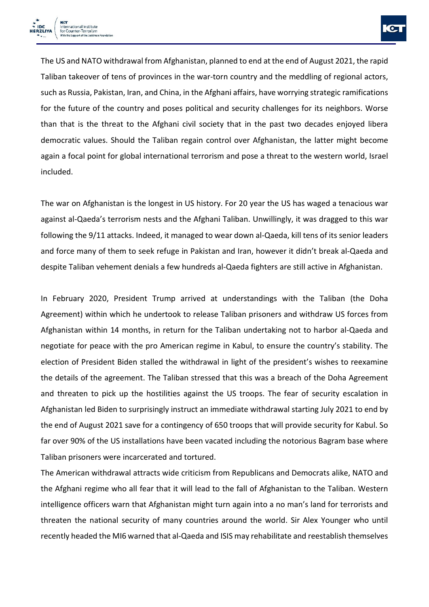

The US and NATO withdrawal from Afghanistan, planned to end at the end of August 2021, the rapid Taliban takeover of tens of provinces in the war-torn country and the meddling of regional actors, such as Russia, Pakistan, Iran, and China, in the Afghani affairs, have worrying strategic ramifications for the future of the country and poses political and security challenges for its neighbors. Worse than that is the threat to the Afghani civil society that in the past two decades enjoyed libera democratic values. Should the Taliban regain control over Afghanistan, the latter might become again a focal point for global international terrorism and pose a threat to the western world, Israel included.

The war on Afghanistan is the longest in US history. For 20 year the US has waged a tenacious war against al-Qaeda's terrorism nests and the Afghani Taliban. Unwillingly, it was dragged to this war following the 9/11 attacks. Indeed, it managed to wear down al-Qaeda, kill tens of its senior leaders and force many of them to seek refuge in Pakistan and Iran, however it didn't break al-Qaeda and despite Taliban vehement denials a few hundreds al-Qaeda fighters are still active in Afghanistan.

In February 2020, President Trump arrived at understandings with the Taliban (the Doha Agreement) within which he undertook to release Taliban prisoners and withdraw US forces from Afghanistan within 14 months, in return for the Taliban undertaking not to harbor al-Qaeda and negotiate for peace with the pro American regime in Kabul, to ensure the country's stability. The election of President Biden stalled the withdrawal in light of the president's wishes to reexamine the details of the agreement. The Taliban stressed that this was a breach of the Doha Agreement and threaten to pick up the hostilities against the US troops. The fear of security escalation in Afghanistan led Biden to surprisingly instruct an immediate withdrawal starting July 2021 to end by the end of August 2021 save for a contingency of 650 troops that will provide security for Kabul. So far over 90% of the US installations have been vacated including the notorious Bagram base where Taliban prisoners were incarcerated and tortured.

The American withdrawal attracts wide criticism from Republicans and Democrats alike, NATO and the Afghani regime who all fear that it will lead to the fall of Afghanistan to the Taliban. Western intelligence officers warn that Afghanistan might turn again into a no man's land for terrorists and threaten the national security of many countries around the world. Sir Alex Younger who until recently headed the MI6 warned that al-Qaeda and ISIS may rehabilitate and reestablish themselves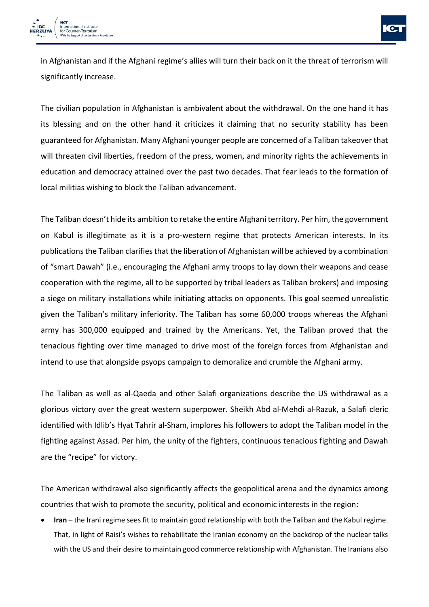

in Afghanistan and if the Afghani regime's allies will turn their back on it the threat of terrorism will significantly increase.

The civilian population in Afghanistan is ambivalent about the withdrawal. On the one hand it has its blessing and on the other hand it criticizes it claiming that no security stability has been guaranteed for Afghanistan. Many Afghani younger people are concerned of a Taliban takeover that will threaten civil liberties, freedom of the press, women, and minority rights the achievements in education and democracy attained over the past two decades. That fear leads to the formation of local militias wishing to block the Taliban advancement.

The Taliban doesn't hide its ambition to retake the entire Afghani territory. Per him, the government on Kabul is illegitimate as it is a pro-western regime that protects American interests. In its publications the Taliban clarifies that the liberation of Afghanistan will be achieved by a combination of "smart Dawah" (i.e., encouraging the Afghani army troops to lay down their weapons and cease cooperation with the regime, all to be supported by tribal leaders as Taliban brokers) and imposing a siege on military installations while initiating attacks on opponents. This goal seemed unrealistic given the Taliban's military inferiority. The Taliban has some 60,000 troops whereas the Afghani army has 300,000 equipped and trained by the Americans. Yet, the Taliban proved that the tenacious fighting over time managed to drive most of the foreign forces from Afghanistan and intend to use that alongside psyops campaign to demoralize and crumble the Afghani army.

The Taliban as well as al-Qaeda and other Salafi organizations describe the US withdrawal as a glorious victory over the great western superpower. Sheikh Abd al-Mehdi al-Razuk, a Salafi cleric identified with Idlib's Hyat Tahrir al-Sham, implores his followers to adopt the Taliban model in the fighting against Assad. Per him, the unity of the fighters, continuous tenacious fighting and Dawah are the "recipe" for victory.

The American withdrawal also significantly affects the geopolitical arena and the dynamics among countries that wish to promote the security, political and economic interests in the region:

• **Iran** – the Irani regime sees fit to maintain good relationship with both the Taliban and the Kabul regime. That, in light of Raisi's wishes to rehabilitate the Iranian economy on the backdrop of the nuclear talks with the US and their desire to maintain good commerce relationship with Afghanistan. The Iranians also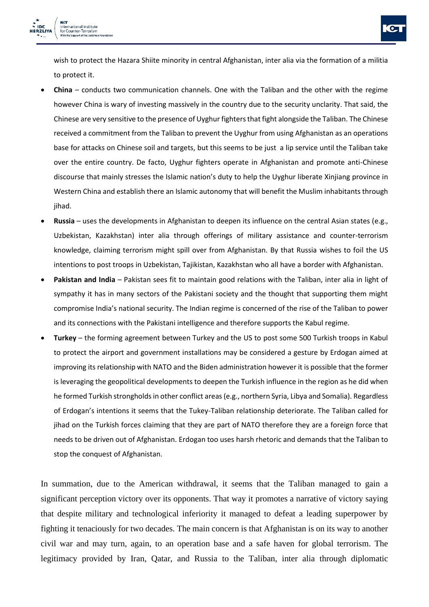

wish to protect the Hazara Shiite minority in central Afghanistan, inter alia via the formation of a militia to protect it.

- **China**  conducts two communication channels. One with the Taliban and the other with the regime however China is wary of investing massively in the country due to the security unclarity. That said, the Chinese are very sensitive to the presence of Uyghur fighters that fight alongside the Taliban. The Chinese received a commitment from the Taliban to prevent the Uyghur from using Afghanistan as an operations base for attacks on Chinese soil and targets, but this seems to be just a lip service until the Taliban take over the entire country. De facto, Uyghur fighters operate in Afghanistan and promote anti-Chinese discourse that mainly stresses the Islamic nation's duty to help the Uyghur liberate Xinjiang province in Western China and establish there an Islamic autonomy that will benefit the Muslim inhabitants through jihad.
- **Russia**  uses the developments in Afghanistan to deepen its influence on the central Asian states (e.g., Uzbekistan, Kazakhstan) inter alia through offerings of military assistance and counter-terrorism knowledge, claiming terrorism might spill over from Afghanistan. By that Russia wishes to foil the US intentions to post troops in Uzbekistan, Tajikistan, Kazakhstan who all have a border with Afghanistan.
- **Pakistan and India**  Pakistan sees fit to maintain good relations with the Taliban, inter alia in light of sympathy it has in many sectors of the Pakistani society and the thought that supporting them might compromise India's national security. The Indian regime is concerned of the rise of the Taliban to power and its connections with the Pakistani intelligence and therefore supports the Kabul regime.
- **Turkey**  the forming agreement between Turkey and the US to post some 500 Turkish troops in Kabul to protect the airport and government installations may be considered a gesture by Erdogan aimed at improving its relationship with NATO and the Biden administration however it is possible that the former is leveraging the geopolitical developments to deepen the Turkish influence in the region as he did when he formed Turkish strongholds in other conflict areas (e.g., northern Syria, Libya and Somalia). Regardless of Erdogan's intentions it seems that the Tukey-Taliban relationship deteriorate. The Taliban called for jihad on the Turkish forces claiming that they are part of NATO therefore they are a foreign force that needs to be driven out of Afghanistan. Erdogan too uses harsh rhetoric and demands that the Taliban to stop the conquest of Afghanistan.

In summation, due to the American withdrawal, it seems that the Taliban managed to gain a significant perception victory over its opponents. That way it promotes a narrative of victory saying that despite military and technological inferiority it managed to defeat a leading superpower by fighting it tenaciously for two decades. The main concern is that Afghanistan is on its way to another civil war and may turn, again, to an operation base and a safe haven for global terrorism. The legitimacy provided by Iran, Qatar, and Russia to the Taliban, inter alia through diplomatic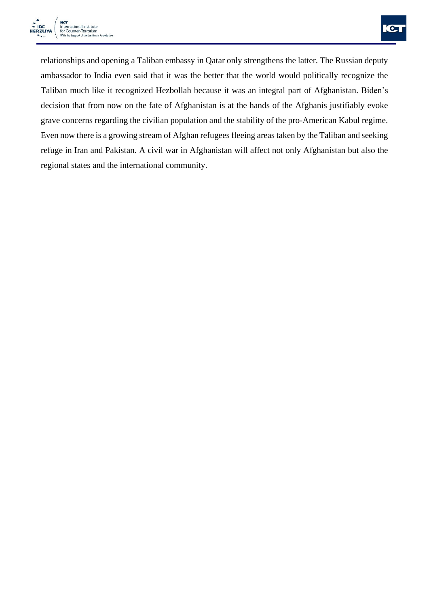

relationships and opening a Taliban embassy in Qatar only strengthens the latter. The Russian deputy ambassador to India even said that it was the better that the world would politically recognize the Taliban much like it recognized Hezbollah because it was an integral part of Afghanistan. Biden's decision that from now on the fate of Afghanistan is at the hands of the Afghanis justifiably evoke grave concerns regarding the civilian population and the stability of the pro-American Kabul regime. Even now there is a growing stream of Afghan refugees fleeing areas taken by the Taliban and seeking refuge in Iran and Pakistan. A civil war in Afghanistan will affect not only Afghanistan but also the regional states and the international community.